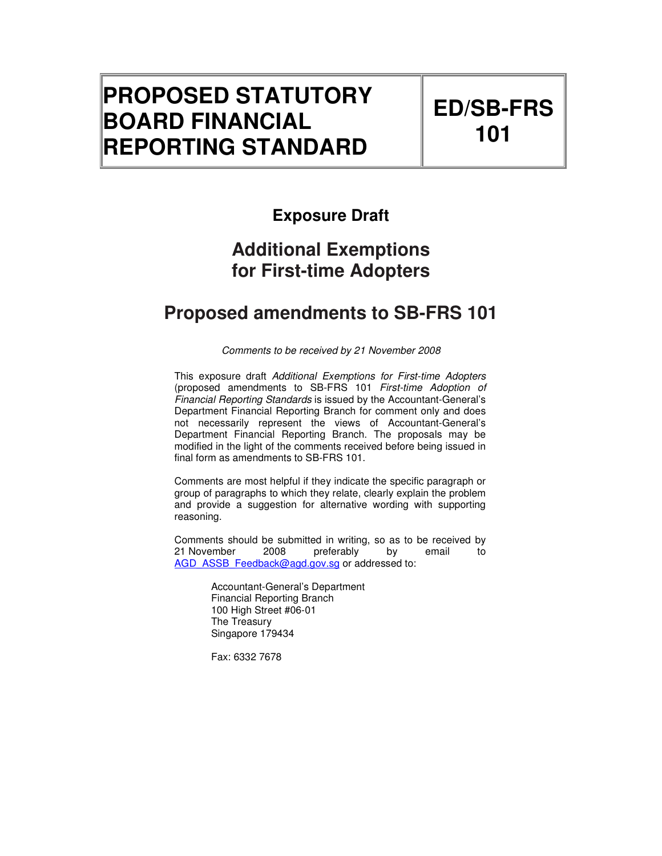# **PROPOSED STATUTORY BOARD FINANCIAL REPORTING STANDARD**

# **ED/SB-FRS 101**

# **Exposure Draft**

# **Additional Exemptions for First-time Adopters**

# **Proposed amendments to SB-FRS 101**

Comments to be received by 21 November 2008

This exposure draft Additional Exemptions for First-time Adopters (proposed amendments to SB-FRS 101 First-time Adoption of Financial Reporting Standards is issued by the Accountant-General's Department Financial Reporting Branch for comment only and does not necessarily represent the views of Accountant-General's Department Financial Reporting Branch. The proposals may be modified in the light of the comments received before being issued in final form as amendments to SB-FRS 101.

Comments are most helpful if they indicate the specific paragraph or group of paragraphs to which they relate, clearly explain the problem and provide a suggestion for alternative wording with supporting reasoning.

Comments should be submitted in writing, so as to be received by<br>21 November 2008 preferably by email to 21 November 2008 preferably by email to AGD\_ASSB\_Feedback@agd.gov.sg or addressed to:

> Accountant-General's Department Financial Reporting Branch 100 High Street #06-01 The Treasury Singapore 179434

Fax: 6332 7678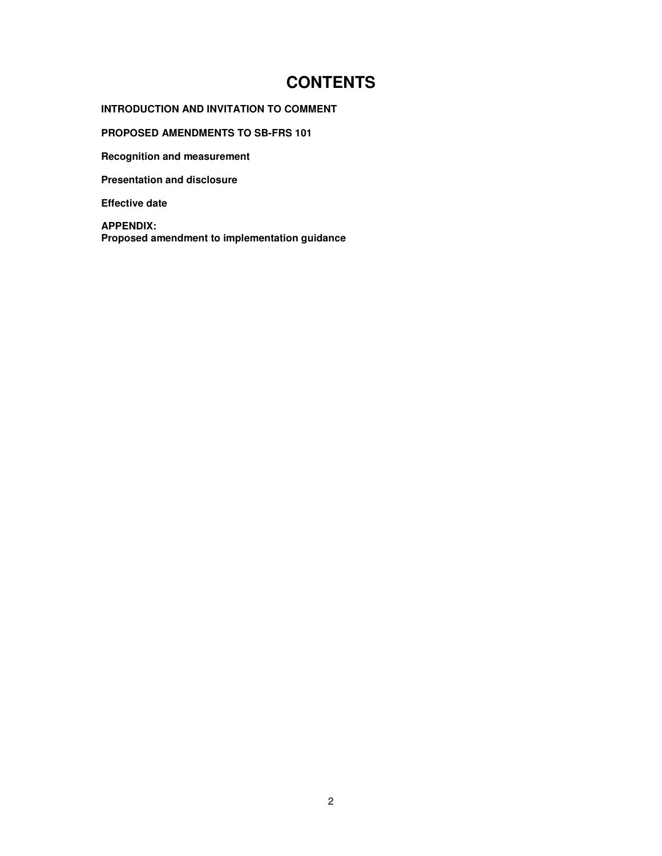# **CONTENTS**

## **INTRODUCTION AND INVITATION TO COMMENT**

**PROPOSED AMENDMENTS TO SB-FRS 101** 

**Recognition and measurement** 

**Presentation and disclosure** 

**Effective date** 

**APPENDIX: Proposed amendment to implementation guidance**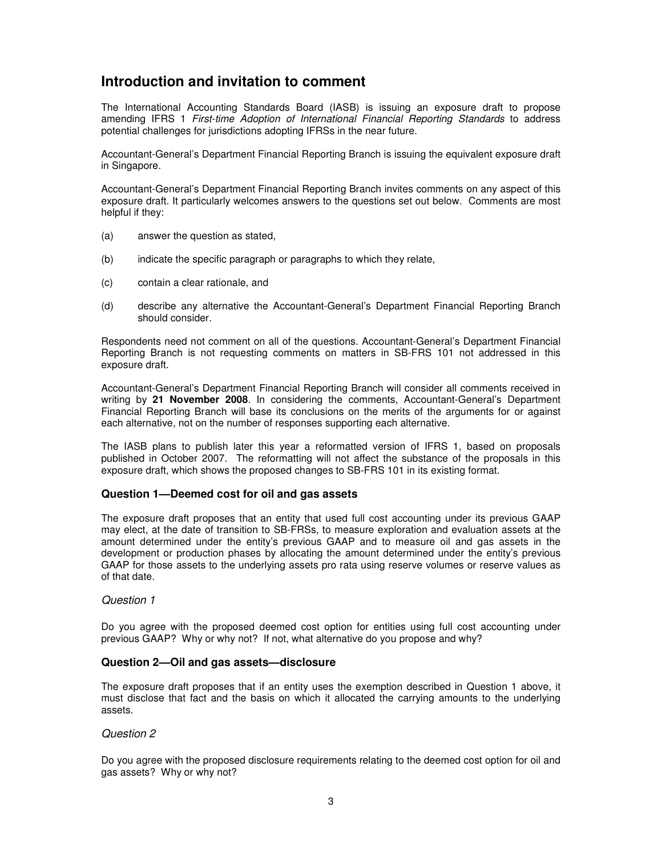# **Introduction and invitation to comment**

The International Accounting Standards Board (IASB) is issuing an exposure draft to propose amending IFRS 1 First-time Adoption of International Financial Reporting Standards to address potential challenges for jurisdictions adopting IFRSs in the near future.

Accountant-General's Department Financial Reporting Branch is issuing the equivalent exposure draft in Singapore.

Accountant-General's Department Financial Reporting Branch invites comments on any aspect of this exposure draft. It particularly welcomes answers to the questions set out below. Comments are most helpful if they:

- (a) answer the question as stated,
- (b) indicate the specific paragraph or paragraphs to which they relate,
- (c) contain a clear rationale, and
- (d) describe any alternative the Accountant-General's Department Financial Reporting Branch should consider.

Respondents need not comment on all of the questions. Accountant-General's Department Financial Reporting Branch is not requesting comments on matters in SB-FRS 101 not addressed in this exposure draft.

Accountant-General's Department Financial Reporting Branch will consider all comments received in writing by **21 November 2008**. In considering the comments, Accountant-General's Department Financial Reporting Branch will base its conclusions on the merits of the arguments for or against each alternative, not on the number of responses supporting each alternative.

The IASB plans to publish later this year a reformatted version of IFRS 1, based on proposals published in October 2007. The reformatting will not affect the substance of the proposals in this exposure draft, which shows the proposed changes to SB-FRS 101 in its existing format.

### **Question 1—Deemed cost for oil and gas assets**

The exposure draft proposes that an entity that used full cost accounting under its previous GAAP may elect, at the date of transition to SB-FRSs, to measure exploration and evaluation assets at the amount determined under the entity's previous GAAP and to measure oil and gas assets in the development or production phases by allocating the amount determined under the entity's previous GAAP for those assets to the underlying assets pro rata using reserve volumes or reserve values as of that date.

### Question 1

Do you agree with the proposed deemed cost option for entities using full cost accounting under previous GAAP? Why or why not? If not, what alternative do you propose and why?

### **Question 2—Oil and gas assets—disclosure**

The exposure draft proposes that if an entity uses the exemption described in Question 1 above, it must disclose that fact and the basis on which it allocated the carrying amounts to the underlying assets.

### Question 2

Do you agree with the proposed disclosure requirements relating to the deemed cost option for oil and gas assets? Why or why not?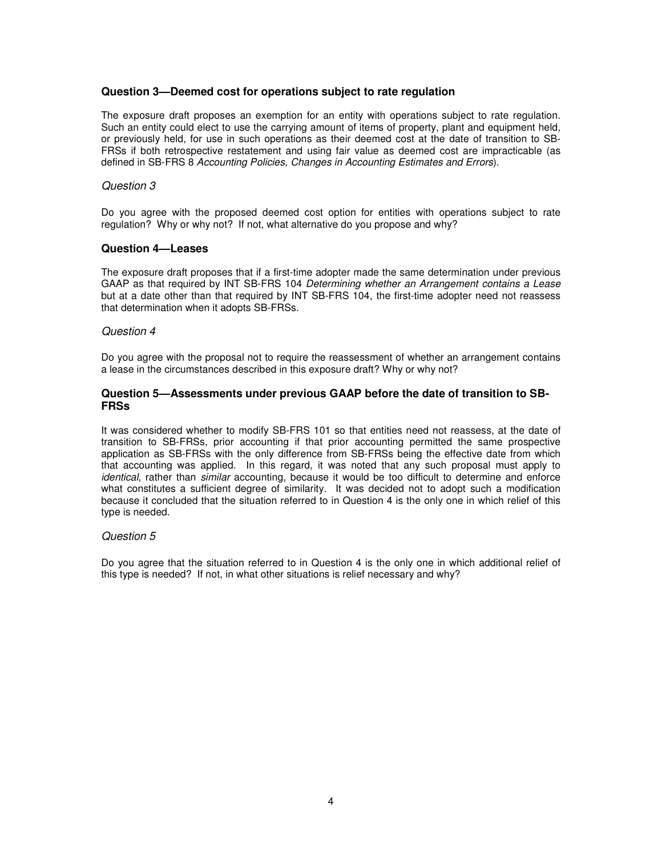### **Question 3—Deemed cost for operations subject to rate regulation**

The exposure draft proposes an exemption for an entity with operations subject to rate regulation. Such an entity could elect to use the carrying amount of items of property, plant and equipment held, or previously held, for use in such operations as their deemed cost at the date of transition to SB-FRSs if both retrospective restatement and using fair value as deemed cost are impracticable (as defined in SB-FRS 8 Accounting Policies, Changes in Accounting Estimates and Errors).

#### Question 3

Do you agree with the proposed deemed cost option for entities with operations subject to rate regulation? Why or why not? If not, what alternative do you propose and why?

#### **Question 4—Leases**

The exposure draft proposes that if a first-time adopter made the same determination under previous GAAP as that required by INT SB-FRS 104 Determining whether an Arrangement contains a Lease but at a date other than that required by INT SB-FRS 104, the first-time adopter need not reassess that determination when it adopts SB-FRSs.

#### Question 4

Do you agree with the proposal not to require the reassessment of whether an arrangement contains a lease in the circumstances described in this exposure draft? Why or why not?

### **Question 5—Assessments under previous GAAP before the date of transition to SB-FRSs**

It was considered whether to modify SB-FRS 101 so that entities need not reassess, at the date of transition to SB-FRSs, prior accounting if that prior accounting permitted the same prospective application as SB-FRSs with the only difference from SB-FRSs being the effective date from which that accounting was applied. In this regard, it was noted that any such proposal must apply to identical, rather than similar accounting, because it would be too difficult to determine and enforce what constitutes a sufficient degree of similarity. It was decided not to adopt such a modification because it concluded that the situation referred to in Question 4 is the only one in which relief of this type is needed.

#### Question 5

Do you agree that the situation referred to in Question 4 is the only one in which additional relief of this type is needed? If not, in what other situations is relief necessary and why?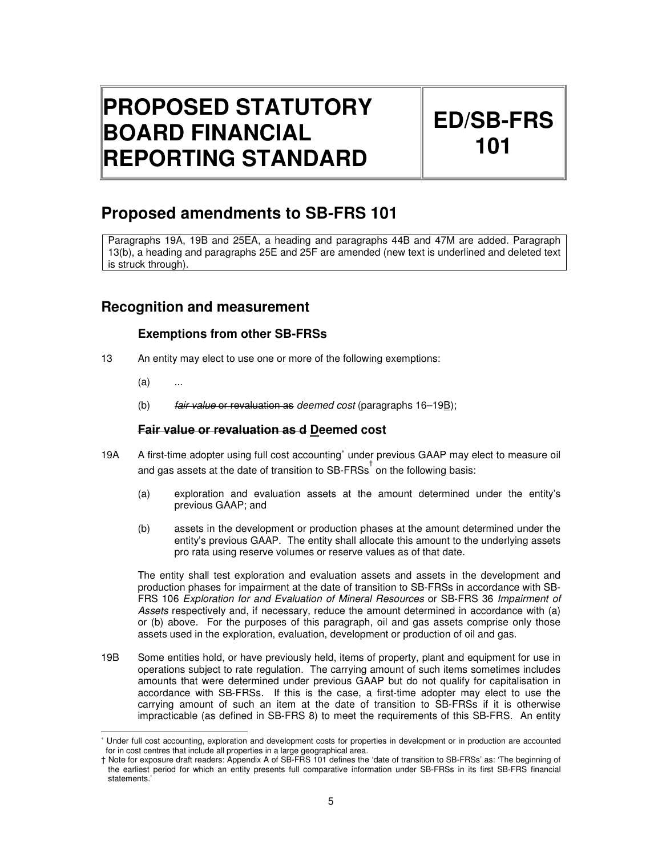# **PROPOSED STATUTORY BOARD FINANCIAL REPORTING STANDARD**

# **ED/SB-FRS 101**

# **Proposed amendments to SB-FRS 101**

Paragraphs 19A, 19B and 25EA, a heading and paragraphs 44B and 47M are added. Paragraph 13(b), a heading and paragraphs 25E and 25F are amended (new text is underlined and deleted text is struck through).

# **Recognition and measurement**

# **Exemptions from other SB-FRSs**

- 13 An entity may elect to use one or more of the following exemptions:
	- $(a)$

L

(b)  $fair$  value or revaluation as deemed cost (paragraphs  $16-19B$ );

## **Fair value or revaluation as d Deemed cost**

- 19A A first-time adopter using full cost accounting<sup>\*</sup> under previous GAAP may elect to measure oil and gas assets at the date of transition to  $\overline{SB}$ -FRSs<sup>†</sup> on the following basis:
	- (a) exploration and evaluation assets at the amount determined under the entity's previous GAAP; and
	- (b) assets in the development or production phases at the amount determined under the entity's previous GAAP. The entity shall allocate this amount to the underlying assets pro rata using reserve volumes or reserve values as of that date.

The entity shall test exploration and evaluation assets and assets in the development and production phases for impairment at the date of transition to SB-FRSs in accordance with SB-FRS 106 Exploration for and Evaluation of Mineral Resources or SB-FRS 36 Impairment of Assets respectively and, if necessary, reduce the amount determined in accordance with (a) or (b) above. For the purposes of this paragraph, oil and gas assets comprise only those assets used in the exploration, evaluation, development or production of oil and gas.

19B Some entities hold, or have previously held, items of property, plant and equipment for use in operations subject to rate regulation. The carrying amount of such items sometimes includes amounts that were determined under previous GAAP but do not qualify for capitalisation in accordance with SB-FRSs. If this is the case, a first-time adopter may elect to use the carrying amount of such an item at the date of transition to SB-FRSs if it is otherwise impracticable (as defined in SB-FRS 8) to meet the requirements of this SB-FRS. An entity

<sup>∗</sup> Under full cost accounting, exploration and development costs for properties in development or in production are accounted for in cost centres that include all properties in a large geographical area.

<sup>†</sup> Note for exposure draft readers: Appendix A of SB-FRS 101 defines the 'date of transition to SB-FRSs' as: 'The beginning of the earliest period for which an entity presents full comparative information under SB-FRSs in its first SB-FRS financial statements.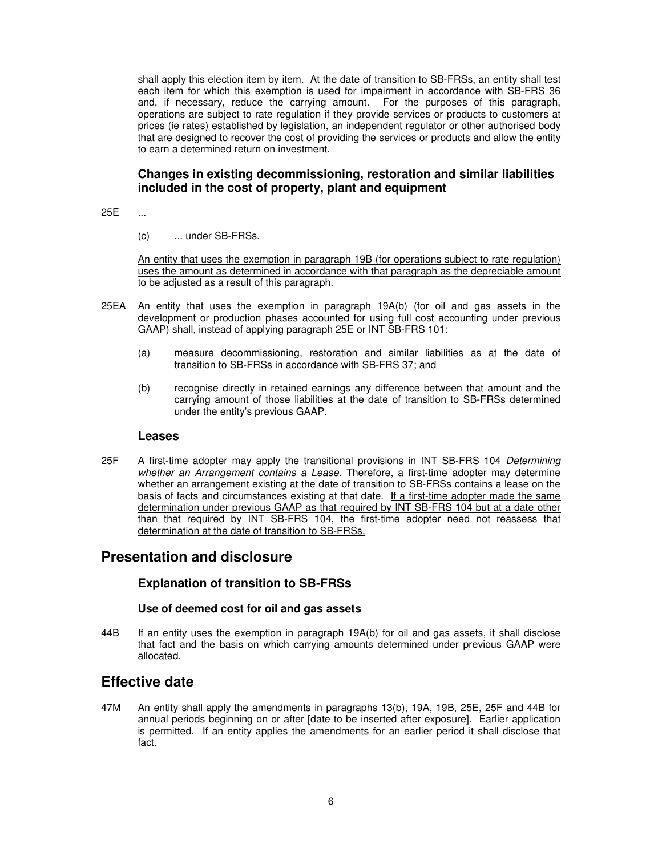shall apply this election item by item. At the date of transition to SB-FRSs, an entity shall test each item for which this exemption is used for impairment in accordance with SB-FRS 36 and, if necessary, reduce the carrying amount. For the purposes of this paragraph, operations are subject to rate regulation if they provide services or products to customers at prices (ie rates) established by legislation, an independent regulator or other authorised body that are designed to recover the cost of providing the services or products and allow the entity to earn a determined return on investment.

## **Changes in existing decommissioning, restoration and similar liabilities included in the cost of property, plant and equipment**

25E ...

(c) ... under SB-FRSs.

An entity that uses the exemption in paragraph 19B (for operations subject to rate regulation) uses the amount as determined in accordance with that paragraph as the depreciable amount to be adjusted as a result of this paragraph.

- 25EA An entity that uses the exemption in paragraph 19A(b) (for oil and gas assets in the development or production phases accounted for using full cost accounting under previous GAAP) shall, instead of applying paragraph 25E or INT SB-FRS 101:
	- (a) measure decommissioning, restoration and similar liabilities as at the date of transition to SB-FRSs in accordance with SB-FRS 37; and
	- (b) recognise directly in retained earnings any difference between that amount and the carrying amount of those liabilities at the date of transition to SB-FRSs determined under the entity's previous GAAP.

### **Leases**

25F A first-time adopter may apply the transitional provisions in INT SB-FRS 104 Determining whether an Arrangement contains a Lease. Therefore, a first-time adopter may determine whether an arrangement existing at the date of transition to SB-FRSs contains a lease on the basis of facts and circumstances existing at that date. If a first-time adopter made the same determination under previous GAAP as that required by INT SB-FRS 104 but at a date other than that required by INT SB-FRS 104, the first-time adopter need not reassess that determination at the date of transition to SB-FRSs.

# **Presentation and disclosure**

## **Explanation of transition to SB-FRSs**

### **Use of deemed cost for oil and gas assets**

44B If an entity uses the exemption in paragraph 19A(b) for oil and gas assets, it shall disclose that fact and the basis on which carrying amounts determined under previous GAAP were allocated.

# **Effective date**

47M An entity shall apply the amendments in paragraphs 13(b), 19A, 19B, 25E, 25F and 44B for annual periods beginning on or after [date to be inserted after exposure]. Earlier application is permitted. If an entity applies the amendments for an earlier period it shall disclose that fact.